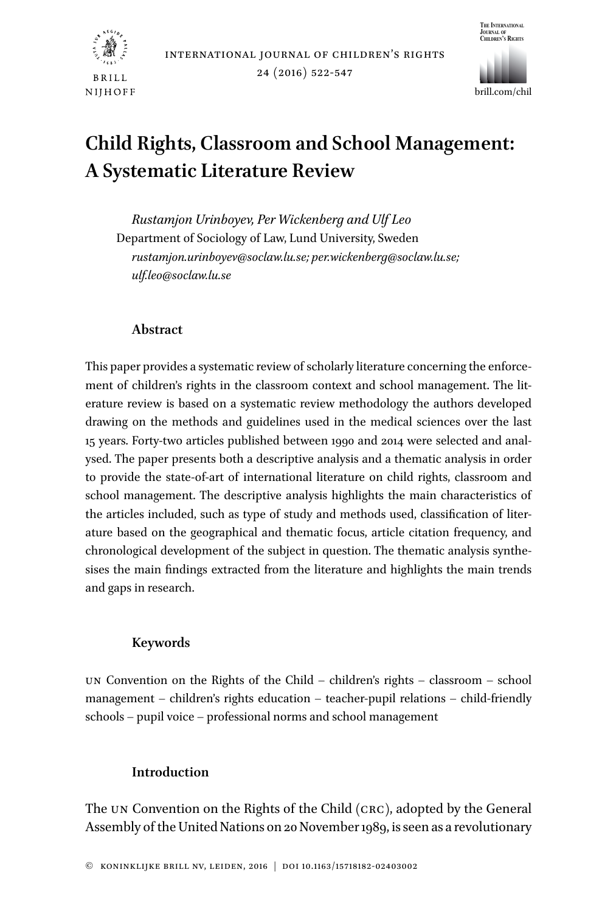



**THE INTERNATIONAL**

# **Child Rights, Classroom and School Management: A Systematic Literature Review**

*Rustamjon Urinboyev, Per Wickenberg and Ulf Leo* Department of Sociology of Law, Lund University, Sweden *rustamjon.urinboyev@soclaw.lu.se; per.wickenberg@soclaw.lu.se; ulf.leo@soclaw.lu.se* 

# **Abstract**

This paper provides a systematic review of scholarly literature concerning the enforcement of children's rights in the classroom context and school management. The literature review is based on a systematic review methodology the authors developed drawing on the methods and guidelines used in the medical sciences over the last 15 years. Forty-two articles published between 1990 and 2014 were selected and analysed. The paper presents both a descriptive analysis and a thematic analysis in order to provide the state-of-art of international literature on child rights, classroom and school management. The descriptive analysis highlights the main characteristics of the articles included, such as type of study and methods used, classification of literature based on the geographical and thematic focus, article citation frequency, and chronological development of the subject in question. The thematic analysis synthesises the main findings extracted from the literature and highlights the main trends and gaps in research.

# **Keywords**

un Convention on the Rights of the Child – children's rights – classroom – school management – children's rights education – teacher-pupil relations – child-friendly schools – pupil voice – professional norms and school management

# **Introduction**

The un Convention on the Rights of the Child (crc), adopted by the General Assembly of the United Nations on 20 November 1989, is seen as a revolutionary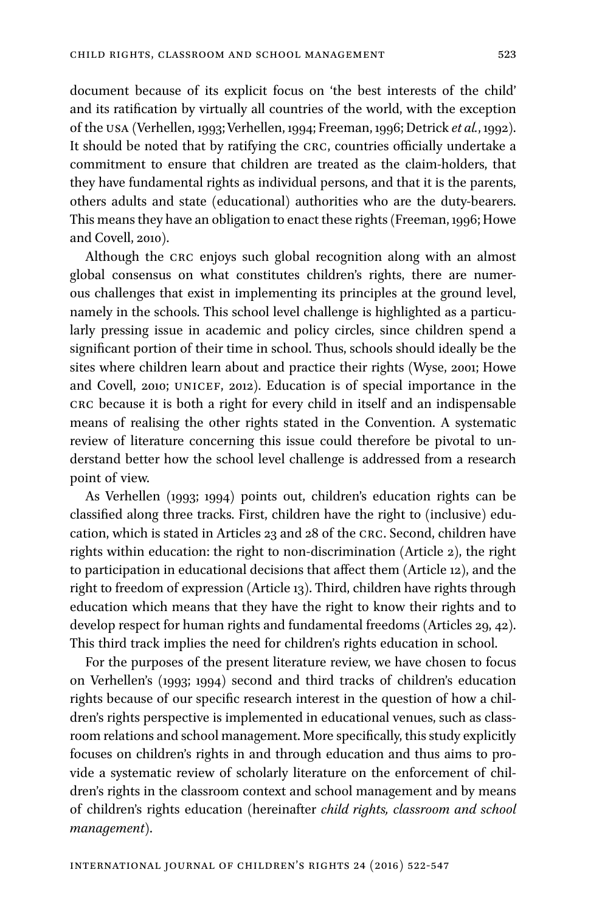document because of its explicit focus on 'the best interests of the child' and its ratification by virtually all countries of the world, with the exception of the usa (Verhellen, 1993; Verhellen, 1994; Freeman, 1996; Detrick *et al.*, 1992). It should be noted that by ratifying the crc, countries officially undertake a commitment to ensure that children are treated as the claim-holders, that they have fundamental rights as individual persons, and that it is the parents, others adults and state (educational) authorities who are the duty-bearers. This means they have an obligation to enact these rights (Freeman, 1996; Howe and Covell, 2010).

Although the crc enjoys such global recognition along with an almost global consensus on what constitutes children's rights, there are numerous challenges that exist in implementing its principles at the ground level, namely in the schools. This school level challenge is highlighted as a particularly pressing issue in academic and policy circles, since children spend a significant portion of their time in school. Thus, schools should ideally be the sites where children learn about and practice their rights (Wyse, 2001; Howe and Covell, 2010; unicef, 2012). Education is of special importance in the crc because it is both a right for every child in itself and an indispensable means of realising the other rights stated in the Convention. A systematic review of literature concerning this issue could therefore be pivotal to understand better how the school level challenge is addressed from a research point of view.

As Verhellen (1993; 1994) points out, children's education rights can be classified along three tracks. First, children have the right to (inclusive) education, which is stated in Articles 23 and 28 of the crc. Second, children have rights within education: the right to non-discrimination (Article 2), the right to participation in educational decisions that affect them (Article 12), and the right to freedom of expression (Article 13). Third, children have rights through education which means that they have the right to know their rights and to develop respect for human rights and fundamental freedoms (Articles 29, 42). This third track implies the need for children's rights education in school.

For the purposes of the present literature review, we have chosen to focus on Verhellen's (1993; 1994) second and third tracks of children's education rights because of our specific research interest in the question of how a children's rights perspective is implemented in educational venues, such as classroom relations and school management. More specifically, this study explicitly focuses on children's rights in and through education and thus aims to provide a systematic review of scholarly literature on the enforcement of children's rights in the classroom context and school management and by means of children's rights education (hereinafter *child rights, classroom and school management*).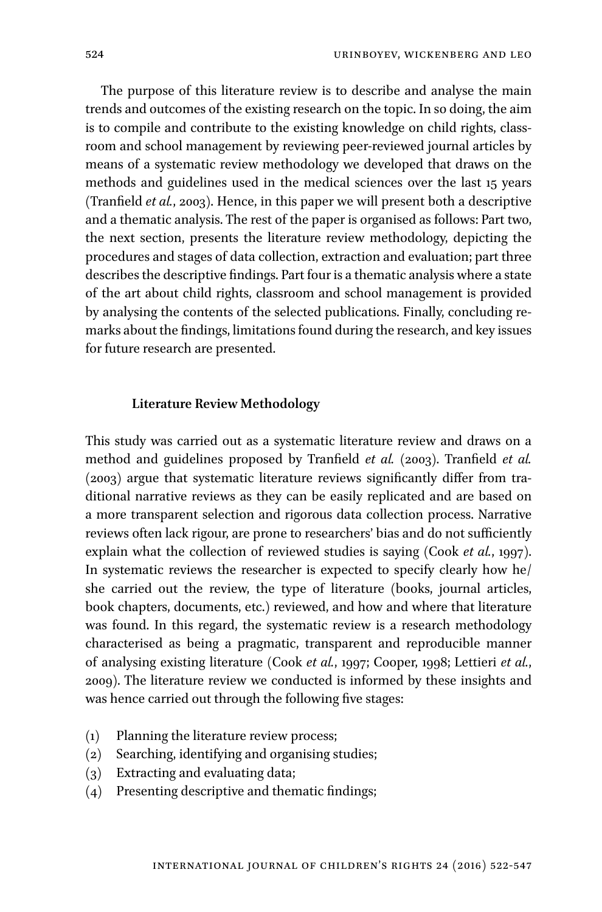The purpose of this literature review is to describe and analyse the main trends and outcomes of the existing research on the topic. In so doing, the aim is to compile and contribute to the existing knowledge on child rights, classroom and school management by reviewing peer-reviewed journal articles by means of a systematic review methodology we developed that draws on the methods and guidelines used in the medical sciences over the last 15 years (Tranfield *et al.*, 2003). Hence, in this paper we will present both a descriptive and a thematic analysis. The rest of the paper is organised as follows: Part two, the next section, presents the literature review methodology, depicting the procedures and stages of data collection, extraction and evaluation; part three describes the descriptive findings. Part four is a thematic analysis where a state of the art about child rights, classroom and school management is provided by analysing the contents of the selected publications. Finally, concluding remarks about the findings, limitations found during the research, and key issues for future research are presented.

#### **Literature Review Methodology**

This study was carried out as a systematic literature review and draws on a method and guidelines proposed by Tranfield *et al.* (2003). Tranfield *et al.* (2003) argue that systematic literature reviews significantly differ from traditional narrative reviews as they can be easily replicated and are based on a more transparent selection and rigorous data collection process. Narrative reviews often lack rigour, are prone to researchers' bias and do not sufficiently explain what the collection of reviewed studies is saying (Cook *et al.*, 1997). In systematic reviews the researcher is expected to specify clearly how he/ she carried out the review, the type of literature (books, journal articles, book chapters, documents, etc.) reviewed, and how and where that literature was found. In this regard, the systematic review is a research methodology characterised as being a pragmatic, transparent and reproducible manner of analysing existing literature (Cook *et al.*, 1997; Cooper, 1998; Lettieri *et al.*, 2009). The literature review we conducted is informed by these insights and was hence carried out through the following five stages:

- (1) Planning the literature review process;
- (2) Searching, identifying and organising studies;
- (3) Extracting and evaluating data;
- (4) Presenting descriptive and thematic findings;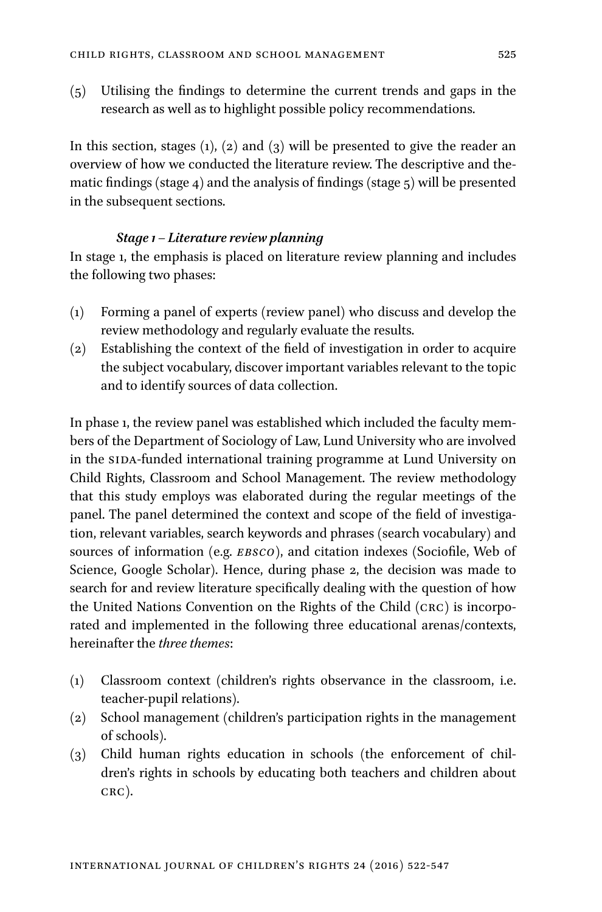(5) Utilising the findings to determine the current trends and gaps in the research as well as to highlight possible policy recommendations.

In this section, stages  $(1)$ ,  $(2)$  and  $(3)$  will be presented to give the reader an overview of how we conducted the literature review. The descriptive and thematic findings (stage 4) and the analysis of findings (stage 5) will be presented in the subsequent sections.

## *Stage 1 – Literature review planning*

In stage 1, the emphasis is placed on literature review planning and includes the following two phases:

- (1) Forming a panel of experts (review panel) who discuss and develop the review methodology and regularly evaluate the results.
- (2) Establishing the context of the field of investigation in order to acquire the subject vocabulary, discover important variables relevant to the topic and to identify sources of data collection.

In phase 1, the review panel was established which included the faculty members of the Department of Sociology of Law, Lund University who are involved in the sida-funded international training programme at Lund University on Child Rights, Classroom and School Management. The review methodology that this study employs was elaborated during the regular meetings of the panel. The panel determined the context and scope of the field of investigation, relevant variables, search keywords and phrases (search vocabulary) and sources of information (e.g. *ebsco*), and citation indexes (Sociofile, Web of Science, Google Scholar). Hence, during phase 2, the decision was made to search for and review literature specifically dealing with the question of how the United Nations Convention on the Rights of the Child (crc) is incorporated and implemented in the following three educational arenas/contexts, hereinafter the *three themes*:

- (1) Classroom context (children's rights observance in the classroom, i.e. teacher-pupil relations).
- (2) School management (children's participation rights in the management of schools).
- (3) Child human rights education in schools (the enforcement of children's rights in schools by educating both teachers and children about  $CRC$ ).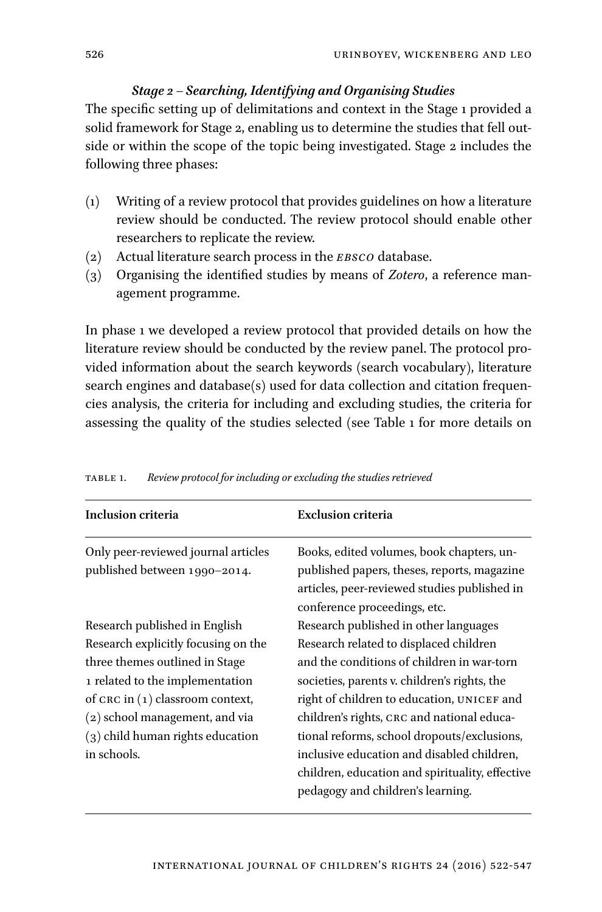## *Stage 2 – Searching, Identifying and Organising Studies*

The specific setting up of delimitations and context in the Stage 1 provided a solid framework for Stage 2, enabling us to determine the studies that fell outside or within the scope of the topic being investigated. Stage 2 includes the following three phases:

- (1) Writing of a review protocol that provides guidelines on how a literature review should be conducted. The review protocol should enable other researchers to replicate the review.
- (2) Actual literature search process in the *ebsco* database.
- (3) Organising the identified studies by means of *Zotero*, a reference management programme.

In phase 1 we developed a review protocol that provided details on how the literature review should be conducted by the review panel. The protocol provided information about the search keywords (search vocabulary), literature search engines and database(s) used for data collection and citation frequencies analysis, the criteria for including and excluding studies, the criteria for assessing the quality of the studies selected (see Table 1 for more details on

| Inclusion criteria                                                  | <b>Exclusion criteria</b>                                                                                                                |
|---------------------------------------------------------------------|------------------------------------------------------------------------------------------------------------------------------------------|
| Only peer-reviewed journal articles<br>published between 1990-2014. | Books, edited volumes, book chapters, un-<br>published papers, theses, reports, magazine<br>articles, peer-reviewed studies published in |
|                                                                     | conference proceedings, etc.                                                                                                             |
| Research published in English                                       | Research published in other languages                                                                                                    |
| Research explicitly focusing on the                                 | Research related to displaced children                                                                                                   |
| three themes outlined in Stage                                      | and the conditions of children in war-torn                                                                                               |
| 1 related to the implementation                                     | societies, parents v. children's rights, the                                                                                             |
| of CRC in $(1)$ classroom context,                                  | right of children to education, UNICEF and                                                                                               |
| (2) school management, and via                                      | children's rights, CRC and national educa-                                                                                               |
| $(3)$ child human rights education                                  | tional reforms, school dropouts/exclusions,                                                                                              |
| in schools.                                                         | inclusive education and disabled children,                                                                                               |
|                                                                     | children, education and spirituality, effective                                                                                          |
|                                                                     | pedagogy and children's learning.                                                                                                        |

Table 1. *Review protocol for including or excluding the studies retrieved*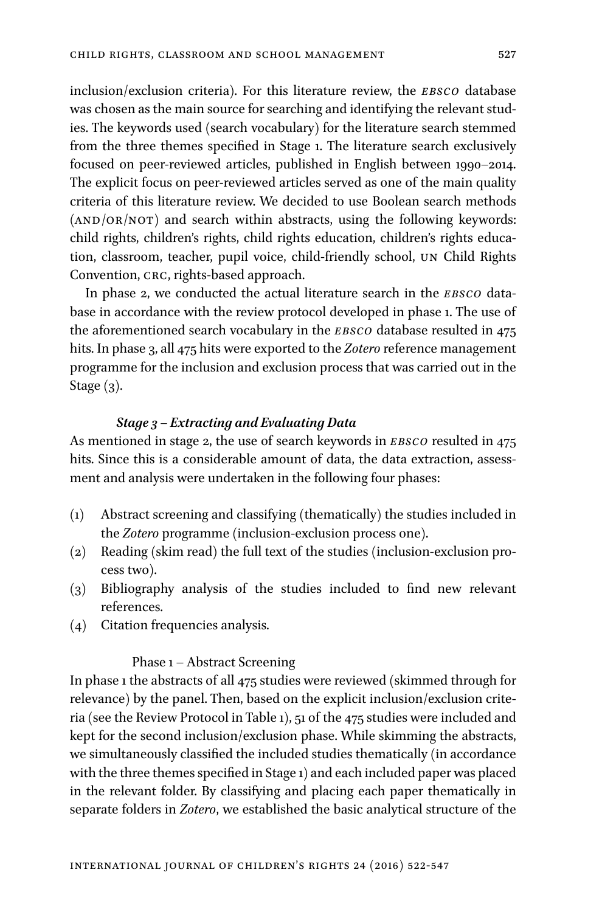inclusion/exclusion criteria). For this literature review, the *ebsco* database was chosen as the main source for searching and identifying the relevant studies. The keywords used (search vocabulary) for the literature search stemmed from the three themes specified in Stage 1. The literature search exclusively focused on peer-reviewed articles, published in English between 1990–2014. The explicit focus on peer-reviewed articles served as one of the main quality criteria of this literature review. We decided to use Boolean search methods  $(AND/OR/NOT)$  and search within abstracts, using the following keywords: child rights, children's rights, child rights education, children's rights education, classroom, teacher, pupil voice, child-friendly school, un Child Rights Convention, crc, rights-based approach.

In phase 2, we conducted the actual literature search in the *ebsco* database in accordance with the review protocol developed in phase 1. The use of the aforementioned search vocabulary in the *ebsco* database resulted in 475 hits. In phase 3, all 475 hits were exported to the *Zotero* reference management programme for the inclusion and exclusion process that was carried out in the Stage  $(3)$ .

#### *Stage 3 – Extracting and Evaluating Data*

As mentioned in stage 2, the use of search keywords in *ebsco* resulted in 475 hits. Since this is a considerable amount of data, the data extraction, assessment and analysis were undertaken in the following four phases:

- (1) Abstract screening and classifying (thematically) the studies included in the *Zotero* programme (inclusion-exclusion process one).
- (2) Reading (skim read) the full text of the studies (inclusion-exclusion process two).
- (3) Bibliography analysis of the studies included to find new relevant references.
- (4) Citation frequencies analysis.

## Phase 1 – Abstract Screening

In phase 1 the abstracts of all 475 studies were reviewed (skimmed through for relevance) by the panel. Then, based on the explicit inclusion/exclusion criteria (see the Review Protocol in Table 1), 51 of the 475 studies were included and kept for the second inclusion/exclusion phase. While skimming the abstracts, we simultaneously classified the included studies thematically (in accordance with the three themes specified in Stage 1) and each included paper was placed in the relevant folder. By classifying and placing each paper thematically in separate folders in *Zotero*, we established the basic analytical structure of the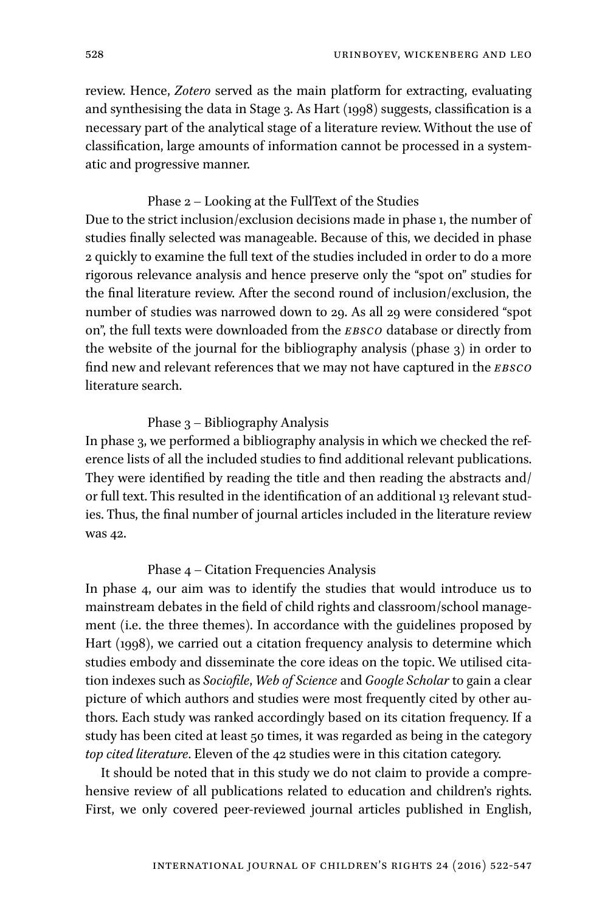review. Hence, *Zotero* served as the main platform for extracting, evaluating and synthesising the data in Stage 3. As Hart (1998) suggests, classification is a necessary part of the analytical stage of a literature review. Without the use of classification, large amounts of information cannot be processed in a systematic and progressive manner.

## Phase 2 – Looking at the FullText of the Studies

Due to the strict inclusion/exclusion decisions made in phase 1, the number of studies finally selected was manageable. Because of this, we decided in phase 2 quickly to examine the full text of the studies included in order to do a more rigorous relevance analysis and hence preserve only the "spot on" studies for the final literature review. After the second round of inclusion/exclusion, the number of studies was narrowed down to 29. As all 29 were considered "spot on", the full texts were downloaded from the *ebsco* database or directly from the website of the journal for the bibliography analysis (phase 3) in order to find new and relevant references that we may not have captured in the *ebsco* literature search.

#### Phase 3 – Bibliography Analysis

In phase 3, we performed a bibliography analysis in which we checked the reference lists of all the included studies to find additional relevant publications. They were identified by reading the title and then reading the abstracts and/ or full text. This resulted in the identification of an additional 13 relevant studies. Thus, the final number of journal articles included in the literature review was 42.

## Phase 4 – Citation Frequencies Analysis

In phase 4, our aim was to identify the studies that would introduce us to mainstream debates in the field of child rights and classroom/school management (i.e. the three themes). In accordance with the guidelines proposed by Hart (1998), we carried out a citation frequency analysis to determine which studies embody and disseminate the core ideas on the topic. We utilised citation indexes such as *Sociofile*, *Web of Science* and *Google Scholar* to gain a clear picture of which authors and studies were most frequently cited by other authors. Each study was ranked accordingly based on its citation frequency. If a study has been cited at least 50 times, it was regarded as being in the category *top cited literature*. Eleven of the 42 studies were in this citation category.

It should be noted that in this study we do not claim to provide a comprehensive review of all publications related to education and children's rights. First, we only covered peer-reviewed journal articles published in English,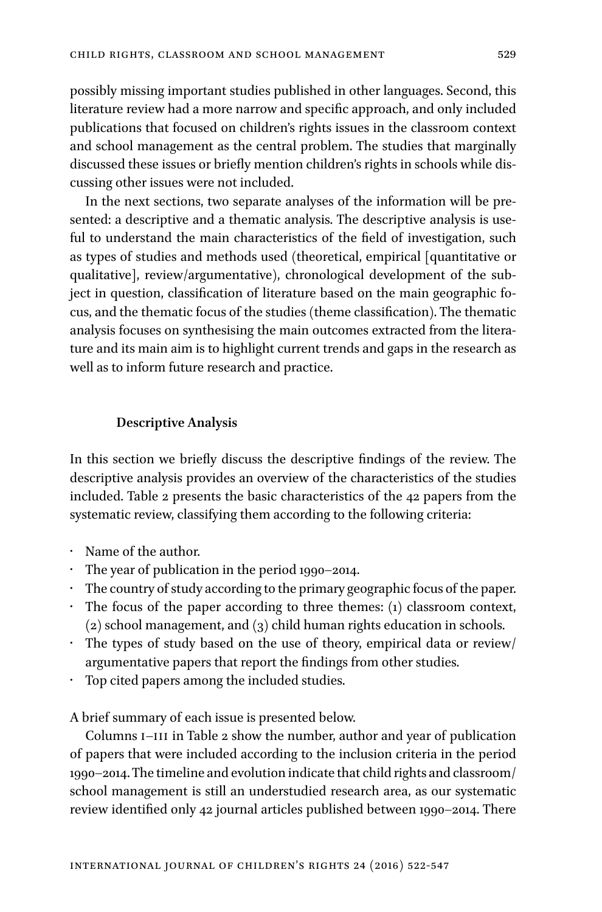possibly missing important studies published in other languages. Second, this literature review had a more narrow and specific approach, and only included publications that focused on children's rights issues in the classroom context and school management as the central problem. The studies that marginally discussed these issues or briefly mention children's rights in schools while discussing other issues were not included.

In the next sections, two separate analyses of the information will be presented: a descriptive and a thematic analysis. The descriptive analysis is useful to understand the main characteristics of the field of investigation, such as types of studies and methods used (theoretical, empirical [quantitative or qualitative], review/argumentative), chronological development of the subject in question, classification of literature based on the main geographic focus, and the thematic focus of the studies (theme classification). The thematic analysis focuses on synthesising the main outcomes extracted from the literature and its main aim is to highlight current trends and gaps in the research as well as to inform future research and practice.

#### **Descriptive Analysis**

In this section we briefly discuss the descriptive findings of the review. The descriptive analysis provides an overview of the characteristics of the studies included. Table 2 presents the basic characteristics of the 42 papers from the systematic review, classifying them according to the following criteria:

- Name of the author.
- The year of publication in the period 1990–2014.
- The country of study according to the primary geographic focus of the paper.
- The focus of the paper according to three themes: (1) classroom context, (2) school management, and (3) child human rights education in schools.
- The types of study based on the use of theory, empirical data or review/ argumentative papers that report the findings from other studies.
- Top cited papers among the included studies.

A brief summary of each issue is presented below.

Columns I–III in Table 2 show the number, author and year of publication of papers that were included according to the inclusion criteria in the period 1990–2014. The timeline and evolution indicate that child rights and classroom/ school management is still an understudied research area, as our systematic review identified only 42 journal articles published between 1990–2014. There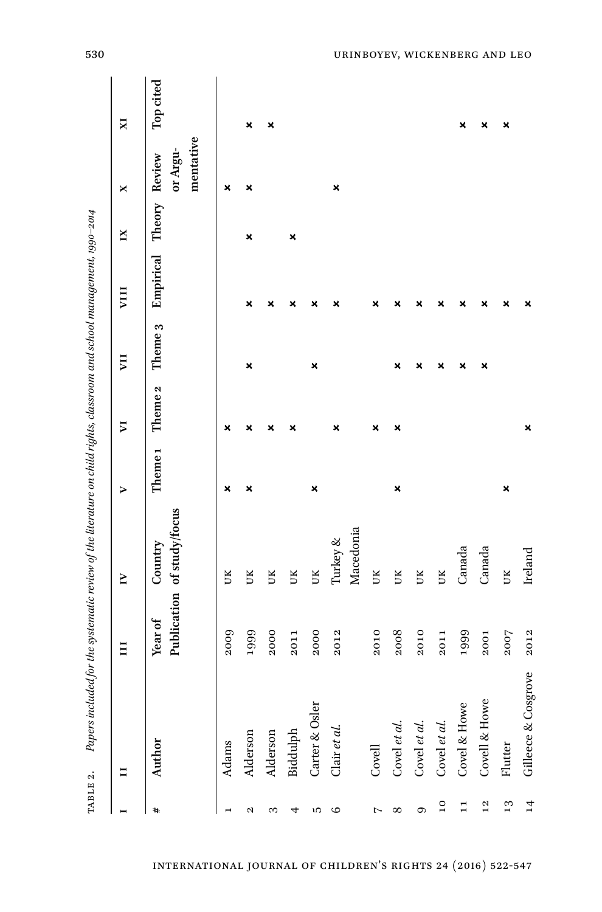| TABLE 2.        | Papers included for the systematic review of the literature on child rights, classroom and school management, 1990–2014 |                         |                                       |                    |                    |         |                         |    |                       |           |
|-----------------|-------------------------------------------------------------------------------------------------------------------------|-------------------------|---------------------------------------|--------------------|--------------------|---------|-------------------------|----|-----------------------|-----------|
|                 | ፡                                                                                                                       | $\overline{\mathbf{H}}$ | $\mathbf{N}$                          | ⋗                  | $\overline{V}$     | VII     | VIII                    | IX | ×                     | XI        |
| #               | Author                                                                                                                  | Year of                 | Publication of study/focus<br>Country | Theme <sub>1</sub> | Theme <sub>2</sub> | Theme 3 | Empirical Theory Review |    | mentative<br>or Argu- | Top cited |
|                 | Adams                                                                                                                   | 2009                    | UK                                    | ×                  | ×                  |         |                         |    | ×                     |           |
| N               | Alderson                                                                                                                | 1999                    | UK                                    | ×                  | ×                  | ×       | ×                       | ×  | ×                     | ×         |
| S               | Alderson                                                                                                                | 2000                    | UK                                    |                    | ×                  |         | ×                       |    |                       | ×         |
| 4               | Biddulph                                                                                                                | 2011                    | UK                                    |                    | ×                  |         | ×                       | ×  |                       |           |
| ю               | Carter & Osler                                                                                                          | 2000                    | UK                                    | ×                  |                    | ×       | ×                       |    |                       |           |
| ဖ               | Clair et al.                                                                                                            | 2012                    | Macedonia<br>Turkey &                 |                    | ×                  |         | ×                       |    | ×                     |           |
| Ņ               | Covel                                                                                                                   | 2010                    | UK                                    |                    | ×                  |         | ×                       |    |                       |           |
| $^{\circ}$      | Covel et al.                                                                                                            | 2008                    | UK                                    | ×                  | ×                  | ×       | ×                       |    |                       |           |
| ග               | Covel et al.                                                                                                            | 2010                    | UK                                    |                    |                    | ×       | ×                       |    |                       |           |
| $\overline{10}$ | Covel et al.                                                                                                            | 2011                    | UK                                    |                    |                    | ×       | ×                       |    |                       |           |
| $\mathbf{1}$    | Covel & Howe                                                                                                            | 1999                    | Canada                                |                    |                    | ×       | ×                       |    |                       | ×         |
| 12              | Covell & Howe                                                                                                           | 2001                    | Canada                                |                    |                    | ×       | ×                       |    |                       | ×         |
| 13              | Flutter                                                                                                                 | 2007                    | UK                                    | ×                  |                    |         | ×                       |    |                       | ×         |
| 14              | Gilleece & Cosgrove                                                                                                     | 2012                    | Ireland                               |                    | ×                  |         | ×                       |    |                       |           |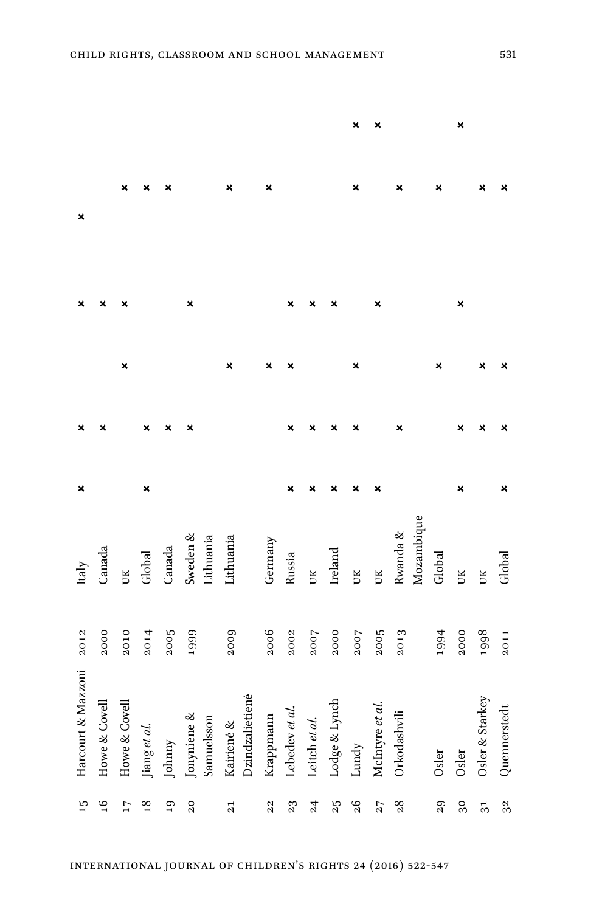| 15            | Harcourt & Mazzoni 2012          |        | Italy                 | × |   |   |   | × |
|---------------|----------------------------------|--------|-----------------------|---|---|---|---|---|
| 16            | Howe & Covell                    | 2000   | Canada                |   |   |   | × |   |
| 17            | Howe & Covell                    | 2010   | UK                    |   |   | × |   |   |
| 18            | Jiang et al.                     | 2014   | Global                | × |   |   |   |   |
| 19            | Johnny                           | $2005$ | Canada                |   |   |   |   |   |
| 20            | Jonyniene $\&$<br>Samuelsson     | 1999   | Sweden &<br>Lithuania |   |   |   | × |   |
| 21            | Dzindzalietienė<br>Kairienė $\&$ | 2009   | Lithuania             |   |   | × |   | × |
| 22            | Krappmann                        | 2006   | Germany               |   |   | × |   | × |
| $\mathbf{23}$ | Lebedev et al.                   | 2002   | Russia                |   |   |   | × |   |
| $^{24}$       | Leitch et al.                    | 2007   | UK                    |   |   |   |   |   |
| 25            | Lodge & Lynch                    | 2000   | Ireland               |   |   |   |   |   |
| 26            | Lundy                            | 2007   | UK                    |   |   | × |   | x |
| 27            | McIntyre et al.                  | 2005   | UK                    |   |   |   | × |   |
| 28            | Orkodashvili                     | 2013   | Rwanda $\&$           |   | × |   |   | × |
|               |                                  |        | Mozambique            |   |   |   |   |   |
| 29            | Osler                            | 1994   | Global                |   |   | × |   |   |
| 30            | Osler                            | 2000   | UK                    |   |   |   | × |   |
| 31            | Osler & Starkey                  | 1998   | UK                    |   |   |   |   |   |
| 32            | Quennerstedt                     | 2011   | Global                | × |   |   |   |   |

x x

 $\overline{\mathbf{x}}$ 

# international journal of children's rights 24 (2016) 522-547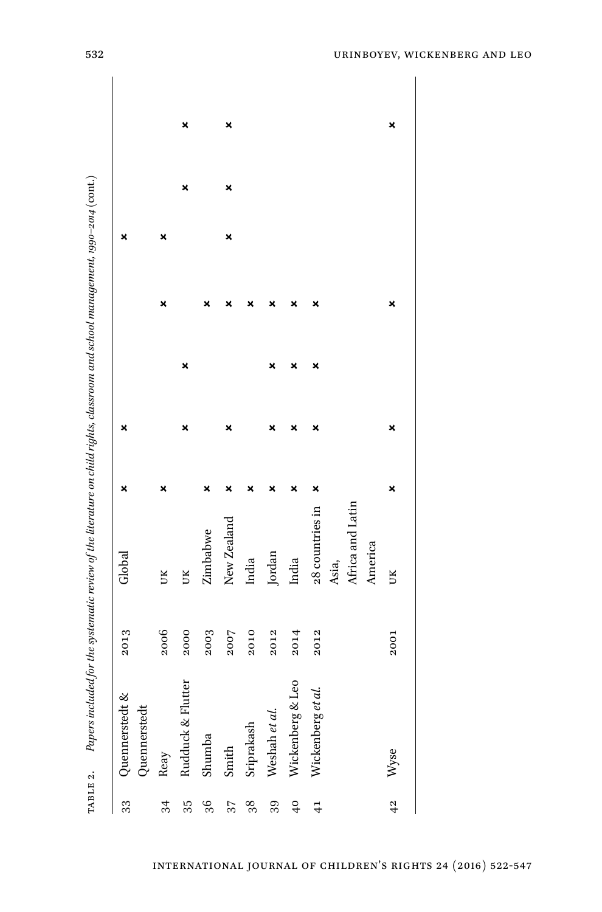| 33              | Quennerstedt &    | 2013 | Global           | × | × |   |   | × |   |   |
|-----------------|-------------------|------|------------------|---|---|---|---|---|---|---|
|                 | Quennerstedt      |      |                  |   |   |   |   |   |   |   |
| 34              | Reay              | 2006 | UK               | × |   |   | × | × |   |   |
| 35              | Rudduck & Flutter | 2000 | UK               |   | × | × |   |   | × | × |
| 36              | Shumba            | 2003 | Zimbabwe         | × |   |   | × |   |   |   |
| 57              | Smith             | 2007 | New Zealand      | × | × |   |   | × | × | × |
| 38              | Sriprakash        | 2010 | India            | × |   |   |   |   |   |   |
| 39              | Weshah et al.     | 2012 | Jordan           | × | × |   |   |   |   |   |
| $\overline{4}$  | Wickenberg & Leo  | 2014 | India            | × | × | × | × |   |   |   |
| $\overline{41}$ | Wickenberg et al. | 2012 | 28 countries in  | × | × | × | × |   |   |   |
|                 |                   |      | Asia,            |   |   |   |   |   |   |   |
|                 |                   |      | Africa and Latin |   |   |   |   |   |   |   |
|                 |                   |      | America          |   |   |   |   |   |   |   |
| $\frac{4}{2}$   | Wyse              | 2001 | UK               | × | × |   | × |   |   | × |
|                 |                   |      |                  |   |   |   |   |   |   |   |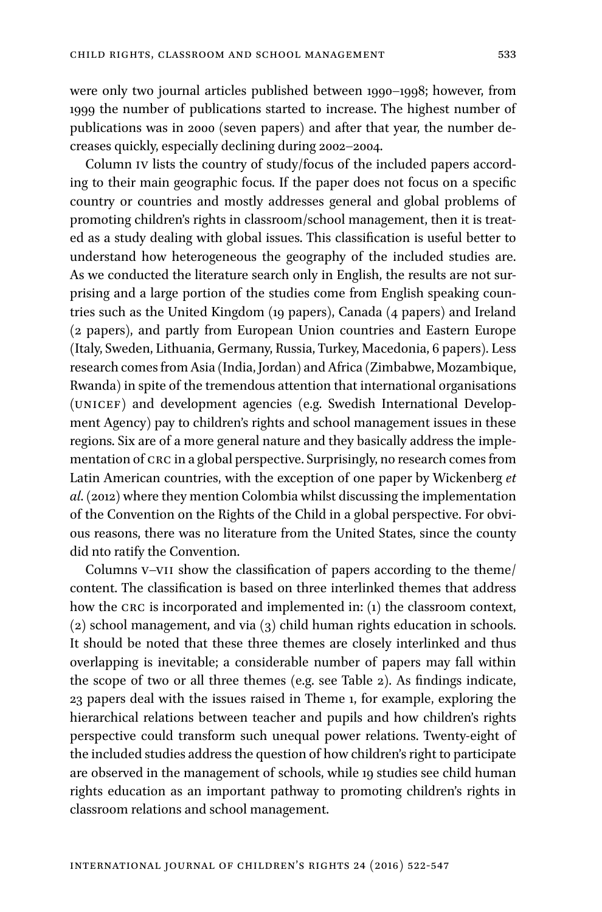were only two journal articles published between 1990–1998; however, from 1999 the number of publications started to increase. The highest number of publications was in 2000 (seven papers) and after that year, the number decreases quickly, especially declining during 2002–2004.

Column iv lists the country of study/focus of the included papers according to their main geographic focus. If the paper does not focus on a specific country or countries and mostly addresses general and global problems of promoting children's rights in classroom/school management, then it is treated as a study dealing with global issues. This classification is useful better to understand how heterogeneous the geography of the included studies are. As we conducted the literature search only in English, the results are not surprising and a large portion of the studies come from English speaking countries such as the United Kingdom (19 papers), Canada (4 papers) and Ireland (2 papers), and partly from European Union countries and Eastern Europe (Italy, Sweden, Lithuania, Germany, Russia, Turkey, Macedonia, 6 papers). Less research comes from Asia (India, Jordan) and Africa (Zimbabwe, Mozambique, Rwanda) in spite of the tremendous attention that international organisations (unicef) and development agencies (e.g. Swedish International Development Agency) pay to children's rights and school management issues in these regions. Six are of a more general nature and they basically address the implementation of crc in a global perspective. Surprisingly, no research comes from Latin American countries, with the exception of one paper by Wickenberg *et al*. (2012) where they mention Colombia whilst discussing the implementation of the Convention on the Rights of the Child in a global perspective. For obvious reasons, there was no literature from the United States, since the county did nto ratify the Convention.

Columns v–vii show the classification of papers according to the theme/ content. The classification is based on three interlinked themes that address how the CRC is incorporated and implemented in: (1) the classroom context, (2) school management, and via (3) child human rights education in schools. It should be noted that these three themes are closely interlinked and thus overlapping is inevitable; a considerable number of papers may fall within the scope of two or all three themes (e.g. see Table 2). As findings indicate, 23 papers deal with the issues raised in Theme 1, for example, exploring the hierarchical relations between teacher and pupils and how children's rights perspective could transform such unequal power relations. Twenty-eight of the included studies address the question of how children's right to participate are observed in the management of schools, while 19 studies see child human rights education as an important pathway to promoting children's rights in classroom relations and school management.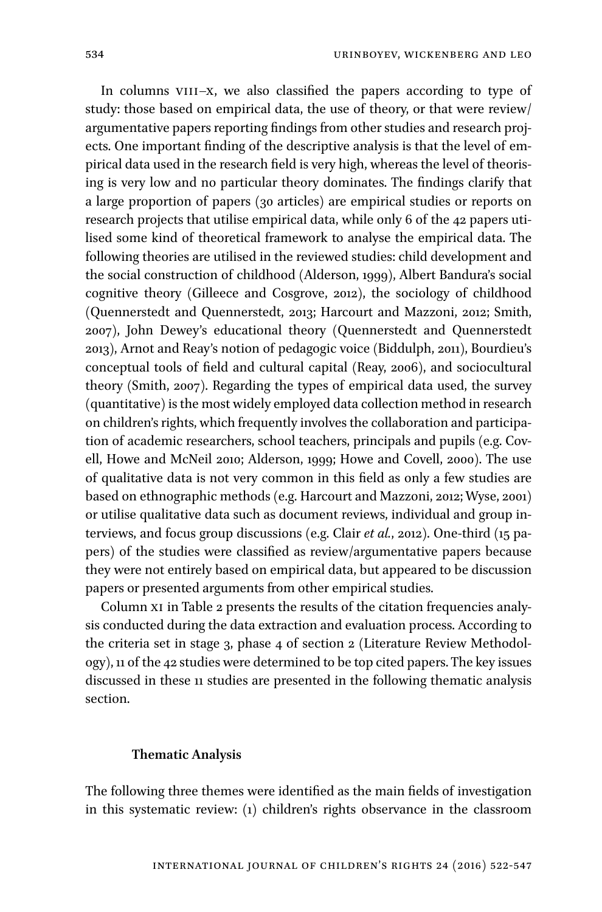In columns  $VIII-X$ , we also classified the papers according to type of study: those based on empirical data, the use of theory, or that were review/ argumentative papers reporting findings from other studies and research projects. One important finding of the descriptive analysis is that the level of empirical data used in the research field is very high, whereas the level of theorising is very low and no particular theory dominates. The findings clarify that a large proportion of papers (30 articles) are empirical studies or reports on research projects that utilise empirical data, while only 6 of the 42 papers utilised some kind of theoretical framework to analyse the empirical data. The following theories are utilised in the reviewed studies: child development and the social construction of childhood (Alderson, 1999), Albert Bandura's social cognitive theory (Gilleece and Cosgrove, 2012), the sociology of childhood (Quennerstedt and Quennerstedt, 2013; Harcourt and Mazzoni, 2012; Smith, 2007), John Dewey's educational theory (Quennerstedt and Quennerstedt 2013), Arnot and Reay's notion of pedagogic voice (Biddulph, 2011), Bourdieu's conceptual tools of field and cultural capital (Reay, 2006), and sociocultural theory (Smith, 2007). Regarding the types of empirical data used, the survey (quantitative) is the most widely employed data collection method in research on children's rights, which frequently involves the collaboration and participation of academic researchers, school teachers, principals and pupils (e.g. Covell, Howe and McNeil 2010; Alderson, 1999; Howe and Covell, 2000). The use of qualitative data is not very common in this field as only a few studies are based on ethnographic methods (e.g. Harcourt and Mazzoni, 2012; Wyse, 2001) or utilise qualitative data such as document reviews, individual and group interviews, and focus group discussions (e.g. Clair *et al.*, 2012). One-third (15 papers) of the studies were classified as review/argumentative papers because they were not entirely based on empirical data, but appeared to be discussion papers or presented arguments from other empirical studies.

Column xi in Table 2 presents the results of the citation frequencies analysis conducted during the data extraction and evaluation process. According to the criteria set in stage 3, phase 4 of section 2 (Literature Review Methodology), 11 of the 42 studies were determined to be top cited papers. The key issues discussed in these 11 studies are presented in the following thematic analysis section.

#### **Thematic Analysis**

The following three themes were identified as the main fields of investigation in this systematic review: (1) children's rights observance in the classroom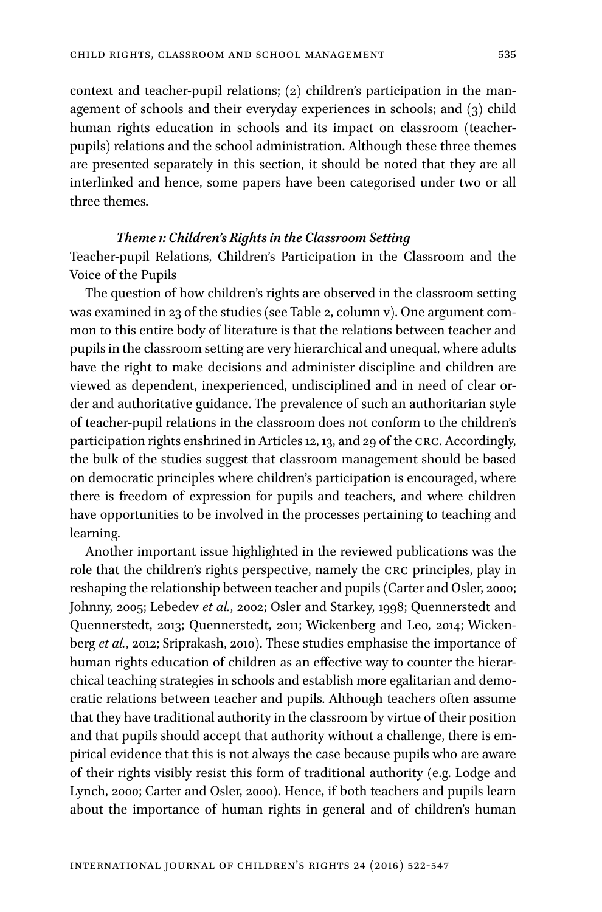context and teacher-pupil relations; (2) children's participation in the management of schools and their everyday experiences in schools; and (3) child human rights education in schools and its impact on classroom (teacherpupils) relations and the school administration. Although these three themes are presented separately in this section, it should be noted that they are all interlinked and hence, some papers have been categorised under two or all three themes.

#### *Theme 1: Children's Rights in the Classroom Setting*

Teacher-pupil Relations, Children's Participation in the Classroom and the Voice of the Pupils

The question of how children's rights are observed in the classroom setting was examined in 23 of the studies (see Table 2, column v). One argument common to this entire body of literature is that the relations between teacher and pupils in the classroom setting are very hierarchical and unequal, where adults have the right to make decisions and administer discipline and children are viewed as dependent, inexperienced, undisciplined and in need of clear order and authoritative guidance. The prevalence of such an authoritarian style of teacher-pupil relations in the classroom does not conform to the children's participation rights enshrined in Articles 12, 13, and 29 of the crc. Accordingly, the bulk of the studies suggest that classroom management should be based on democratic principles where children's participation is encouraged, where there is freedom of expression for pupils and teachers, and where children have opportunities to be involved in the processes pertaining to teaching and learning.

Another important issue highlighted in the reviewed publications was the role that the children's rights perspective, namely the crc principles, play in reshaping the relationship between teacher and pupils (Carter and Osler, 2000; Johnny, 2005; Lebedev *et al.*, 2002; Osler and Starkey, 1998; Quennerstedt and Quennerstedt, 2013; Quennerstedt, 2011; Wickenberg and Leo, 2014; Wickenberg *et al.*, 2012; Sriprakash, 2010). These studies emphasise the importance of human rights education of children as an effective way to counter the hierarchical teaching strategies in schools and establish more egalitarian and democratic relations between teacher and pupils. Although teachers often assume that they have traditional authority in the classroom by virtue of their position and that pupils should accept that authority without a challenge, there is empirical evidence that this is not always the case because pupils who are aware of their rights visibly resist this form of traditional authority (e.g. Lodge and Lynch, 2000; Carter and Osler, 2000). Hence, if both teachers and pupils learn about the importance of human rights in general and of children's human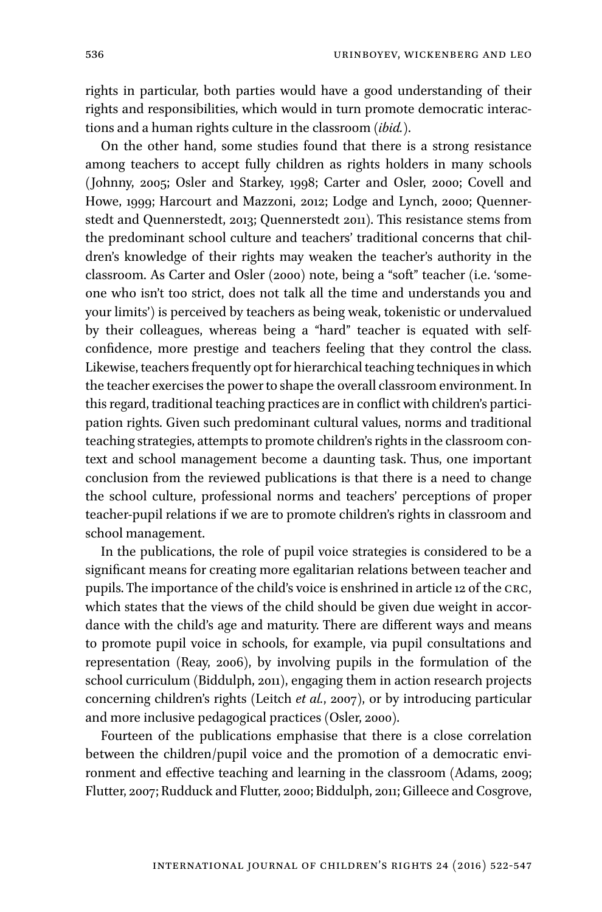rights in particular, both parties would have a good understanding of their rights and responsibilities, which would in turn promote democratic interactions and a human rights culture in the classroom (*ibid.*).

On the other hand, some studies found that there is a strong resistance among teachers to accept fully children as rights holders in many schools (Johnny, 2005; Osler and Starkey, 1998; Carter and Osler, 2000; Covell and Howe, 1999; Harcourt and Mazzoni, 2012; Lodge and Lynch, 2000; Quennerstedt and Quennerstedt, 2013; Quennerstedt 2011). This resistance stems from the predominant school culture and teachers' traditional concerns that children's knowledge of their rights may weaken the teacher's authority in the classroom. As Carter and Osler (2000) note, being a "soft" teacher (i.e. 'someone who isn't too strict, does not talk all the time and understands you and your limits') is perceived by teachers as being weak, tokenistic or undervalued by their colleagues, whereas being a "hard" teacher is equated with selfconfidence, more prestige and teachers feeling that they control the class. Likewise, teachers frequently opt for hierarchical teaching techniques in which the teacher exercises the power to shape the overall classroom environment. In this regard, traditional teaching practices are in conflict with children's participation rights. Given such predominant cultural values, norms and traditional teaching strategies, attempts to promote children's rights in the classroom context and school management become a daunting task. Thus, one important conclusion from the reviewed publications is that there is a need to change the school culture, professional norms and teachers' perceptions of proper teacher-pupil relations if we are to promote children's rights in classroom and school management.

In the publications, the role of pupil voice strategies is considered to be a significant means for creating more egalitarian relations between teacher and pupils. The importance of the child's voice is enshrined in article 12 of the crc, which states that the views of the child should be given due weight in accordance with the child's age and maturity. There are different ways and means to promote pupil voice in schools, for example, via pupil consultations and representation (Reay, 2006), by involving pupils in the formulation of the school curriculum (Biddulph, 2011), engaging them in action research projects concerning children's rights (Leitch *et al.*, 2007), or by introducing particular and more inclusive pedagogical practices (Osler, 2000).

Fourteen of the publications emphasise that there is a close correlation between the children/pupil voice and the promotion of a democratic environment and effective teaching and learning in the classroom (Adams, 2009; Flutter, 2007; Rudduck and Flutter, 2000; Biddulph, 2011; Gilleece and Cosgrove,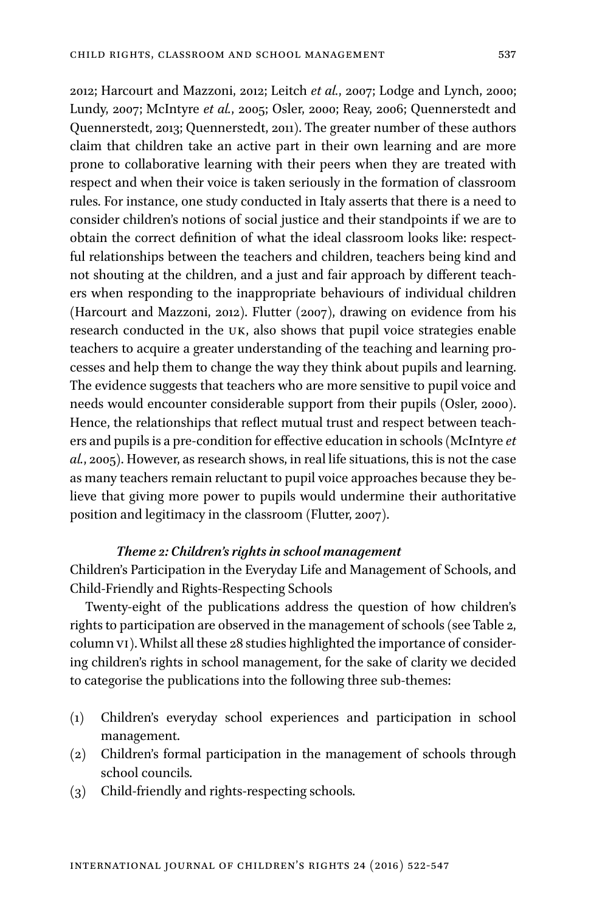2012; Harcourt and Mazzoni, 2012; Leitch *et al.*, 2007; Lodge and Lynch, 2000; Lundy, 2007; McIntyre *et al.*, 2005; Osler, 2000; Reay, 2006; Quennerstedt and Quennerstedt, 2013; Quennerstedt, 2011). The greater number of these authors claim that children take an active part in their own learning and are more prone to collaborative learning with their peers when they are treated with respect and when their voice is taken seriously in the formation of classroom rules. For instance, one study conducted in Italy asserts that there is a need to consider children's notions of social justice and their standpoints if we are to obtain the correct definition of what the ideal classroom looks like: respectful relationships between the teachers and children, teachers being kind and not shouting at the children, and a just and fair approach by different teachers when responding to the inappropriate behaviours of individual children (Harcourt and Mazzoni, 2012). Flutter (2007), drawing on evidence from his research conducted in the UK, also shows that pupil voice strategies enable teachers to acquire a greater understanding of the teaching and learning processes and help them to change the way they think about pupils and learning. The evidence suggests that teachers who are more sensitive to pupil voice and needs would encounter considerable support from their pupils (Osler, 2000). Hence, the relationships that reflect mutual trust and respect between teachers and pupils is a pre-condition for effective education in schools (McIntyre *et al.*, 2005). However, as research shows, in real life situations, this is not the case as many teachers remain reluctant to pupil voice approaches because they believe that giving more power to pupils would undermine their authoritative position and legitimacy in the classroom (Flutter, 2007).

### *Theme 2: Children's rights in school management*

Children's Participation in the Everyday Life and Management of Schools, and Child-Friendly and Rights-Respecting Schools

Twenty-eight of the publications address the question of how children's rights to participation are observed in the management of schools (see Table 2, column vi). Whilst all these 28 studies highlighted the importance of considering children's rights in school management, for the sake of clarity we decided to categorise the publications into the following three sub-themes:

- (1) Children's everyday school experiences and participation in school management.
- (2) Children's formal participation in the management of schools through school councils.
- (3) Child-friendly and rights-respecting schools.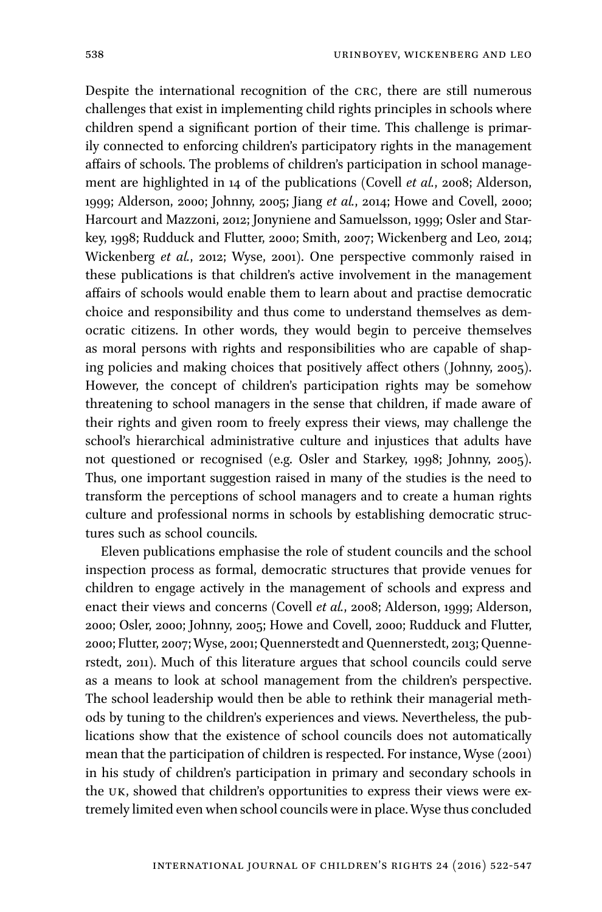Despite the international recognition of the crc, there are still numerous challenges that exist in implementing child rights principles in schools where children spend a significant portion of their time. This challenge is primarily connected to enforcing children's participatory rights in the management affairs of schools. The problems of children's participation in school management are highlighted in 14 of the publications (Covell *et al.*, 2008; Alderson, 1999; Alderson, 2000; Johnny, 2005; Jiang *et al.*, 2014; Howe and Covell, 2000; Harcourt and Mazzoni, 2012; Jonyniene and Samuelsson, 1999; Osler and Starkey, 1998; Rudduck and Flutter, 2000; Smith, 2007; Wickenberg and Leo, 2014; Wickenberg *et al.*, 2012; Wyse, 2001). One perspective commonly raised in these publications is that children's active involvement in the management affairs of schools would enable them to learn about and practise democratic choice and responsibility and thus come to understand themselves as democratic citizens. In other words, they would begin to perceive themselves as moral persons with rights and responsibilities who are capable of shaping policies and making choices that positively affect others (Johnny, 2005). However, the concept of children's participation rights may be somehow threatening to school managers in the sense that children, if made aware of their rights and given room to freely express their views, may challenge the school's hierarchical administrative culture and injustices that adults have not questioned or recognised (e.g. Osler and Starkey, 1998; Johnny, 2005). Thus, one important suggestion raised in many of the studies is the need to transform the perceptions of school managers and to create a human rights culture and professional norms in schools by establishing democratic structures such as school councils.

Eleven publications emphasise the role of student councils and the school inspection process as formal, democratic structures that provide venues for children to engage actively in the management of schools and express and enact their views and concerns (Covell *et al.*, 2008; Alderson, 1999; Alderson, 2000; Osler, 2000; Johnny, 2005; Howe and Covell, 2000; Rudduck and Flutter, 2000; Flutter, 2007; Wyse, 2001; Quennerstedt and Quennerstedt, 2013; Quennerstedt, 2011). Much of this literature argues that school councils could serve as a means to look at school management from the children's perspective. The school leadership would then be able to rethink their managerial methods by tuning to the children's experiences and views. Nevertheless, the publications show that the existence of school councils does not automatically mean that the participation of children is respected. For instance, Wyse (2001) in his study of children's participation in primary and secondary schools in the uk, showed that children's opportunities to express their views were extremely limited even when school councils were in place. Wyse thus concluded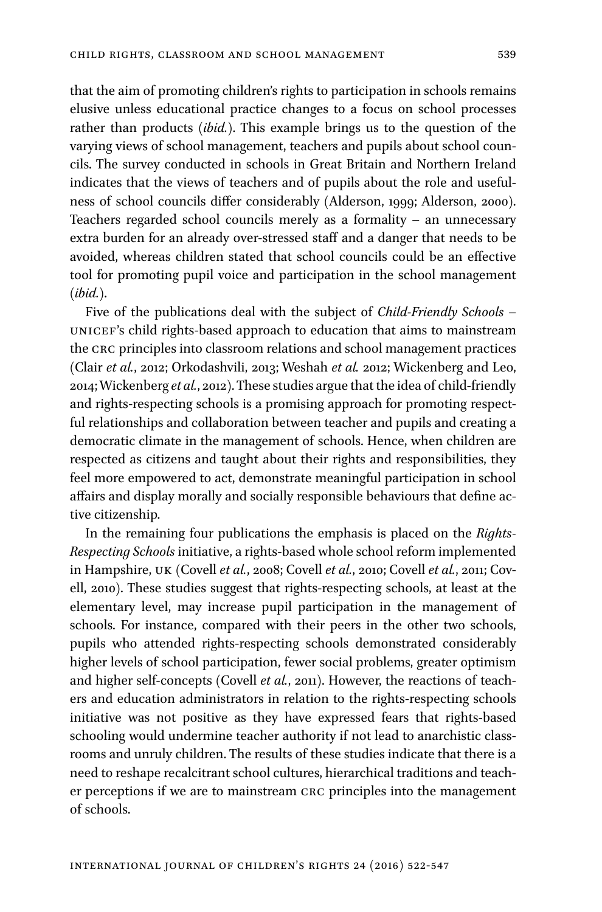that the aim of promoting children's rights to participation in schools remains elusive unless educational practice changes to a focus on school processes rather than products (*ibid.*). This example brings us to the question of the varying views of school management, teachers and pupils about school councils. The survey conducted in schools in Great Britain and Northern Ireland indicates that the views of teachers and of pupils about the role and usefulness of school councils differ considerably (Alderson, 1999; Alderson, 2000). Teachers regarded school councils merely as a formality – an unnecessary extra burden for an already over-stressed staff and a danger that needs to be avoided, whereas children stated that school councils could be an effective tool for promoting pupil voice and participation in the school management (*ibid.*).

Five of the publications deal with the subject of *Child-Friendly Schools* – unicef's child rights-based approach to education that aims to mainstream the crc principles into classroom relations and school management practices (Clair *et al.*, 2012; Orkodashvili, 2013; Weshah *et al.* 2012; Wickenberg and Leo, 2014; Wickenberg *et al.*, 2012). These studies argue that the idea of child-friendly and rights-respecting schools is a promising approach for promoting respectful relationships and collaboration between teacher and pupils and creating a democratic climate in the management of schools. Hence, when children are respected as citizens and taught about their rights and responsibilities, they feel more empowered to act, demonstrate meaningful participation in school affairs and display morally and socially responsible behaviours that define active citizenship.

In the remaining four publications the emphasis is placed on the *Rights-Respecting Schools* initiative, a rights-based whole school reform implemented in Hampshire, uk (Covell *et al.*, 2008; Covell *et al.*, 2010; Covell *et al.*, 2011; Covell, 2010). These studies suggest that rights-respecting schools, at least at the elementary level, may increase pupil participation in the management of schools. For instance, compared with their peers in the other two schools, pupils who attended rights-respecting schools demonstrated considerably higher levels of school participation, fewer social problems, greater optimism and higher self-concepts (Covell *et al.*, 2011). However, the reactions of teachers and education administrators in relation to the rights-respecting schools initiative was not positive as they have expressed fears that rights-based schooling would undermine teacher authority if not lead to anarchistic classrooms and unruly children. The results of these studies indicate that there is a need to reshape recalcitrant school cultures, hierarchical traditions and teacher perceptions if we are to mainstream crc principles into the management of schools.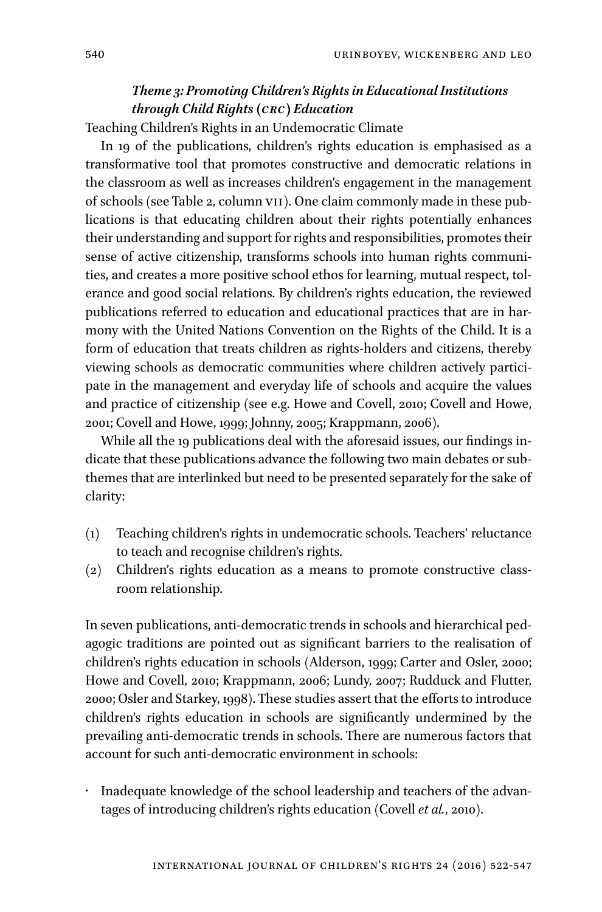# *Theme 3: Promoting Children's Rights in Educational Institutions through Child Rights (crc) Education*

Teaching Children's Rights in an Undemocratic Climate

In 19 of the publications, children's rights education is emphasised as a transformative tool that promotes constructive and democratic relations in the classroom as well as increases children's engagement in the management of schools (see Table 2, column vii). One claim commonly made in these publications is that educating children about their rights potentially enhances their understanding and support for rights and responsibilities, promotes their sense of active citizenship, transforms schools into human rights communities, and creates a more positive school ethos for learning, mutual respect, tolerance and good social relations. By children's rights education, the reviewed publications referred to education and educational practices that are in harmony with the United Nations Convention on the Rights of the Child. It is a form of education that treats children as rights-holders and citizens, thereby viewing schools as democratic communities where children actively participate in the management and everyday life of schools and acquire the values and practice of citizenship (see e.g. Howe and Covell, 2010; Covell and Howe, 2001; Covell and Howe, 1999; Johnny, 2005; Krappmann, 2006).

While all the 19 publications deal with the aforesaid issues, our findings indicate that these publications advance the following two main debates or subthemes that are interlinked but need to be presented separately for the sake of clarity:

- (1) Teaching children's rights in undemocratic schools. Teachers' reluctance to teach and recognise children's rights.
- (2) Children's rights education as a means to promote constructive classroom relationship.

In seven publications, anti-democratic trends in schools and hierarchical pedagogic traditions are pointed out as significant barriers to the realisation of children's rights education in schools (Alderson, 1999; Carter and Osler, 2000; Howe and Covell, 2010; Krappmann, 2006; Lundy, 2007; Rudduck and Flutter, 2000; Osler and Starkey, 1998). These studies assert that the efforts to introduce children's rights education in schools are significantly undermined by the prevailing anti-democratic trends in schools. There are numerous factors that account for such anti-democratic environment in schools:

• Inadequate knowledge of the school leadership and teachers of the advantages of introducing children's rights education (Covell *et al.*, 2010).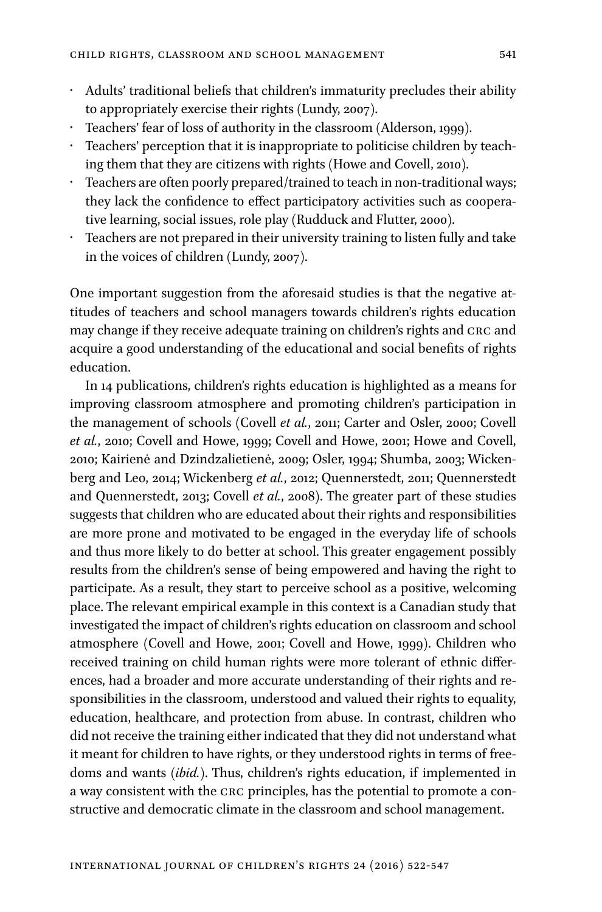- Adults' traditional beliefs that children's immaturity precludes their ability to appropriately exercise their rights (Lundy, 2007).
- Teachers' fear of loss of authority in the classroom (Alderson, 1999).
- Teachers' perception that it is inappropriate to politicise children by teaching them that they are citizens with rights (Howe and Covell, 2010).
- Teachers are often poorly prepared/trained to teach in non-traditional ways; they lack the confidence to effect participatory activities such as cooperative learning, social issues, role play (Rudduck and Flutter, 2000).
- Teachers are not prepared in their university training to listen fully and take in the voices of children (Lundy, 2007).

One important suggestion from the aforesaid studies is that the negative attitudes of teachers and school managers towards children's rights education may change if they receive adequate training on children's rights and crc and acquire a good understanding of the educational and social benefits of rights education.

In 14 publications, children's rights education is highlighted as a means for improving classroom atmosphere and promoting children's participation in the management of schools (Covell *et al.*, 2011; Carter and Osler, 2000; Covell *et al.*, 2010; Covell and Howe, 1999; Covell and Howe, 2001; Howe and Covell, 2010; Kairienė and Dzindzalietienė, 2009; Osler, 1994; Shumba, 2003; Wickenberg and Leo, 2014; Wickenberg *et al.*, 2012; Quennerstedt, 2011; Quennerstedt and Quennerstedt, 2013; Covell *et al.*, 2008). The greater part of these studies suggests that children who are educated about their rights and responsibilities are more prone and motivated to be engaged in the everyday life of schools and thus more likely to do better at school. This greater engagement possibly results from the children's sense of being empowered and having the right to participate. As a result, they start to perceive school as a positive, welcoming place. The relevant empirical example in this context is a Canadian study that investigated the impact of children's rights education on classroom and school atmosphere (Covell and Howe, 2001; Covell and Howe, 1999). Children who received training on child human rights were more tolerant of ethnic differences, had a broader and more accurate understanding of their rights and responsibilities in the classroom, understood and valued their rights to equality, education, healthcare, and protection from abuse. In contrast, children who did not receive the training either indicated that they did not understand what it meant for children to have rights, or they understood rights in terms of freedoms and wants (*ibid.*). Thus, children's rights education, if implemented in a way consistent with the crc principles, has the potential to promote a constructive and democratic climate in the classroom and school management.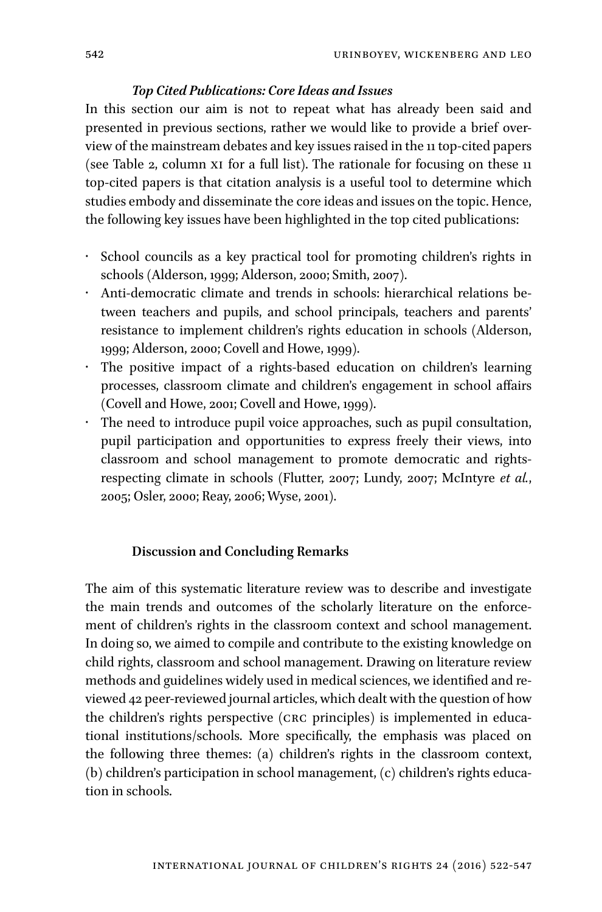## *Top Cited Publications: Core Ideas and Issues*

In this section our aim is not to repeat what has already been said and presented in previous sections, rather we would like to provide a brief overview of the mainstream debates and key issues raised in the 11 top-cited papers (see Table 2, column xi for a full list). The rationale for focusing on these 11 top-cited papers is that citation analysis is a useful tool to determine which studies embody and disseminate the core ideas and issues on the topic. Hence, the following key issues have been highlighted in the top cited publications:

- School councils as a key practical tool for promoting children's rights in schools (Alderson, 1999; Alderson, 2000; Smith, 2007).
- Anti-democratic climate and trends in schools: hierarchical relations between teachers and pupils, and school principals, teachers and parents' resistance to implement children's rights education in schools (Alderson, 1999; Alderson, 2000; Covell and Howe, 1999).
- The positive impact of a rights-based education on children's learning processes, classroom climate and children's engagement in school affairs (Covell and Howe, 2001; Covell and Howe, 1999).
- The need to introduce pupil voice approaches, such as pupil consultation, pupil participation and opportunities to express freely their views, into classroom and school management to promote democratic and rightsrespecting climate in schools (Flutter, 2007; Lundy, 2007; McIntyre *et al.*, 2005; Osler, 2000; Reay, 2006; Wyse, 2001).

#### **Discussion and Concluding Remarks**

The aim of this systematic literature review was to describe and investigate the main trends and outcomes of the scholarly literature on the enforcement of children's rights in the classroom context and school management. In doing so, we aimed to compile and contribute to the existing knowledge on child rights, classroom and school management. Drawing on literature review methods and guidelines widely used in medical sciences, we identified and reviewed 42 peer-reviewed journal articles, which dealt with the question of how the children's rights perspective (crc principles) is implemented in educational institutions/schools. More specifically, the emphasis was placed on the following three themes: (a) children's rights in the classroom context, (b) children's participation in school management, (c) children's rights education in schools.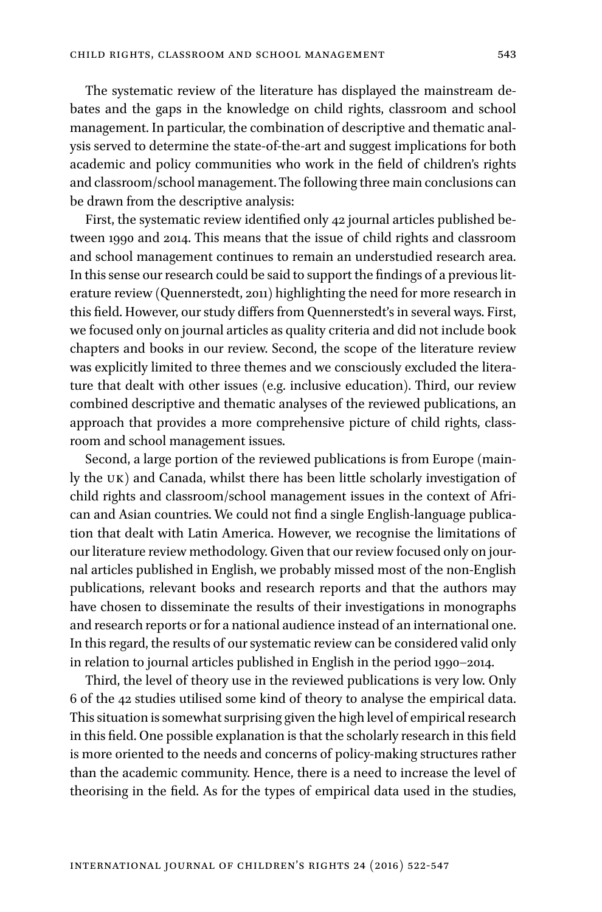The systematic review of the literature has displayed the mainstream debates and the gaps in the knowledge on child rights, classroom and school management. In particular, the combination of descriptive and thematic analysis served to determine the state-of-the-art and suggest implications for both academic and policy communities who work in the field of children's rights and classroom/school management. The following three main conclusions can be drawn from the descriptive analysis:

First, the systematic review identified only 42 journal articles published between 1990 and 2014. This means that the issue of child rights and classroom and school management continues to remain an understudied research area. In this sense our research could be said to support the findings of a previous literature review (Quennerstedt, 2011) highlighting the need for more research in this field. However, our study differs from Quennerstedt's in several ways. First, we focused only on journal articles as quality criteria and did not include book chapters and books in our review. Second, the scope of the literature review was explicitly limited to three themes and we consciously excluded the literature that dealt with other issues (e.g. inclusive education). Third, our review combined descriptive and thematic analyses of the reviewed publications, an approach that provides a more comprehensive picture of child rights, classroom and school management issues.

Second, a large portion of the reviewed publications is from Europe (mainly the uk) and Canada, whilst there has been little scholarly investigation of child rights and classroom/school management issues in the context of African and Asian countries. We could not find a single English-language publication that dealt with Latin America. However, we recognise the limitations of our literature review methodology. Given that our review focused only on journal articles published in English, we probably missed most of the non-English publications, relevant books and research reports and that the authors may have chosen to disseminate the results of their investigations in monographs and research reports or for a national audience instead of an international one. In this regard, the results of our systematic review can be considered valid only in relation to journal articles published in English in the period 1990–2014.

Third, the level of theory use in the reviewed publications is very low. Only 6 of the 42 studies utilised some kind of theory to analyse the empirical data. This situation is somewhat surprising given the high level of empirical research in this field. One possible explanation is that the scholarly research in this field is more oriented to the needs and concerns of policy-making structures rather than the academic community. Hence, there is a need to increase the level of theorising in the field. As for the types of empirical data used in the studies,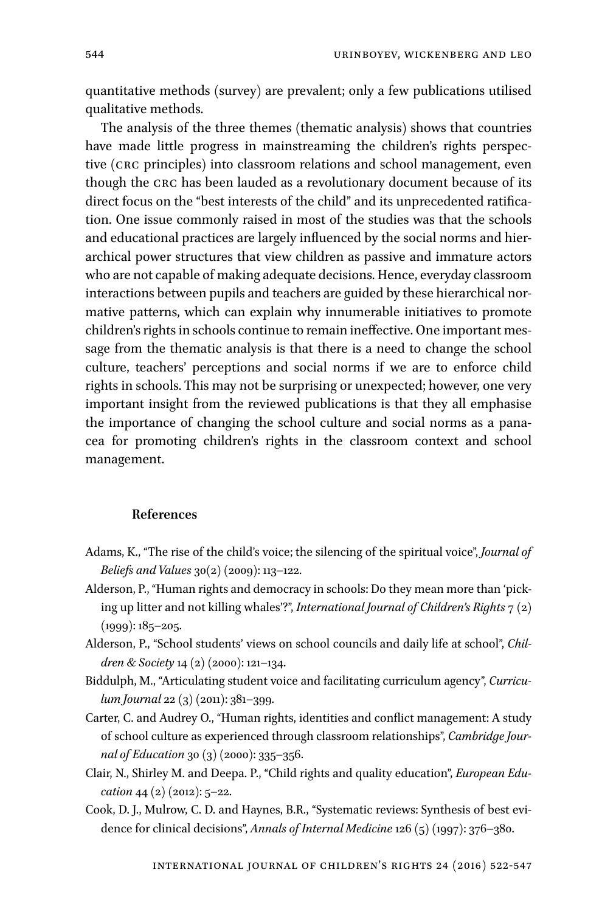quantitative methods (survey) are prevalent; only a few publications utilised qualitative methods.

The analysis of the three themes (thematic analysis) shows that countries have made little progress in mainstreaming the children's rights perspective (crc principles) into classroom relations and school management, even though the crc has been lauded as a revolutionary document because of its direct focus on the "best interests of the child" and its unprecedented ratification. One issue commonly raised in most of the studies was that the schools and educational practices are largely influenced by the social norms and hierarchical power structures that view children as passive and immature actors who are not capable of making adequate decisions. Hence, everyday classroom interactions between pupils and teachers are guided by these hierarchical normative patterns, which can explain why innumerable initiatives to promote children's rights in schools continue to remain ineffective. One important message from the thematic analysis is that there is a need to change the school culture, teachers' perceptions and social norms if we are to enforce child rights in schools. This may not be surprising or unexpected; however, one very important insight from the reviewed publications is that they all emphasise the importance of changing the school culture and social norms as a panacea for promoting children's rights in the classroom context and school management.

#### **References**

- Adams, K., "The rise of the child's voice; the silencing of the spiritual voice", *Journal of Beliefs and Values* 30(2) (2009): 113–122.
- Alderson, P., "Human rights and democracy in schools: Do they mean more than 'picking up litter and not killing whales'?", *International Journal of Children's Rights* 7 (2)  $(1999): 185 - 205.$
- Alderson, P., "School students' views on school councils and daily life at school", *Children & Society* 14 (2) (2000): 121–134.
- Biddulph, M., "Articulating student voice and facilitating curriculum agency", *Curriculum Journal* 22 (3) (2011): 381–399.
- Carter, C. and Audrey O., "Human rights, identities and conflict management: A study of school culture as experienced through classroom relationships", *Cambridge Journal of Education* 30 (3) (2000): 335–356.
- Clair, N., Shirley M. and Deepa. P., "Child rights and quality education", *European Education* 44 (2) (2012): 5–22.
- Cook, D. J., Mulrow, C. D. and Haynes, B.R., "Systematic reviews: Synthesis of best evidence for clinical decisions", *Annals of Internal Medicine* 126 (5) (1997): 376–380.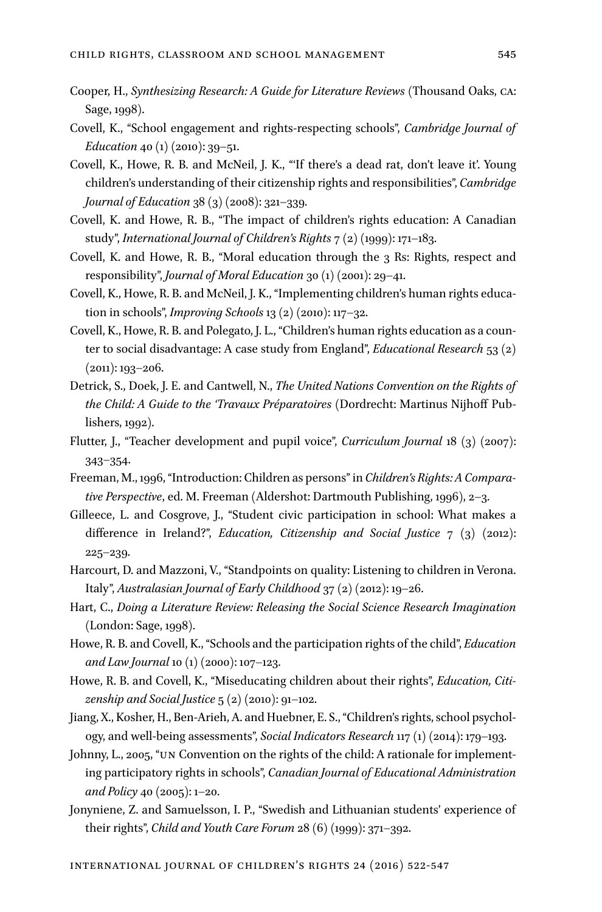- Cooper, H., *Synthesizing Research: A Guide for Literature Reviews* (Thousand Oaks, ca: Sage, 1998).
- Covell, K., "School engagement and rights-respecting schools", *Cambridge Journal of Education* 40 (1) (2010): 39–51.
- Covell, K., Howe, R. B. and McNeil, J. K., "'If there's a dead rat, don't leave it'. Young children's understanding of their citizenship rights and responsibilities", *Cambridge Journal of Education* 38 (3) (2008): 321–339.
- Covell, K. and Howe, R. B., "The impact of children's rights education: A Canadian study", *International Journal of Children's Rights* 7 (2) (1999): 171–183.
- Covell, K. and Howe, R. B., "Moral education through the 3 Rs: Rights, respect and responsibility", *Journal of Moral Education* 30 (1) (2001): 29–41.
- Covell, K., Howe, R. B. and McNeil, J. K., "Implementing children's human rights education in schools", *Improving Schools* 13 (2) (2010): 117–32.
- Covell, K., Howe, R. B. and Polegato, J. L., "Children's human rights education as a counter to social disadvantage: A case study from England", *Educational Research* 53 (2)  $(2011): 193 - 206.$
- Detrick, S., Doek, J. E. and Cantwell, N., *The United Nations Convention on the Rights of the Child: A Guide to the 'Travaux Préparatoires* (Dordrecht: Martinus Nijhoff Publishers, 1992).
- Flutter, J., "Teacher development and pupil voice", *Curriculum Journal* 18 (3) (2007): 343–354.
- Freeman, M., 1996, "Introduction: Children as persons" in *Children's Rights: A Comparative Perspective*, ed. M. Freeman (Aldershot: Dartmouth Publishing, 1996), 2–3.
- Gilleece, L. and Cosgrove, J., "Student civic participation in school: What makes a difference in Ireland?", *Education, Citizenship and Social Justice* 7 (3) (2012): 225–239.
- Harcourt, D. and Mazzoni, V., "Standpoints on quality: Listening to children in Verona. Italy", *Australasian Journal of Early Childhood* 37 (2) (2012): 19–26.
- Hart, C., *Doing a Literature Review: Releasing the Social Science Research Imagination* (London: Sage, 1998).
- Howe, R. B. and Covell, K., "Schools and the participation rights of the child", *Education and Law Journal* 10 (1) (2000): 107–123.
- Howe, R. B. and Covell, K., "Miseducating children about their rights", *Education, Citizenship and Social Justice* 5 (2) (2010): 91–102.
- Jiang, X., Kosher, H., Ben-Arieh, A. and Huebner, E. S., "Children's rights, school psychology, and well-being assessments", *Social Indicators Research* 117 (1) (2014): 179–193.
- Johnny, L., 2005, "un Convention on the rights of the child: A rationale for implementing participatory rights in schools", *Canadian Journal of Educational Administration and Policy* 40 (2005): 1–20.
- Jonyniene, Z. and Samuelsson, I. P., "Swedish and Lithuanian students' experience of their rights", *Child and Youth Care Forum* 28 (6) (1999): 371–392.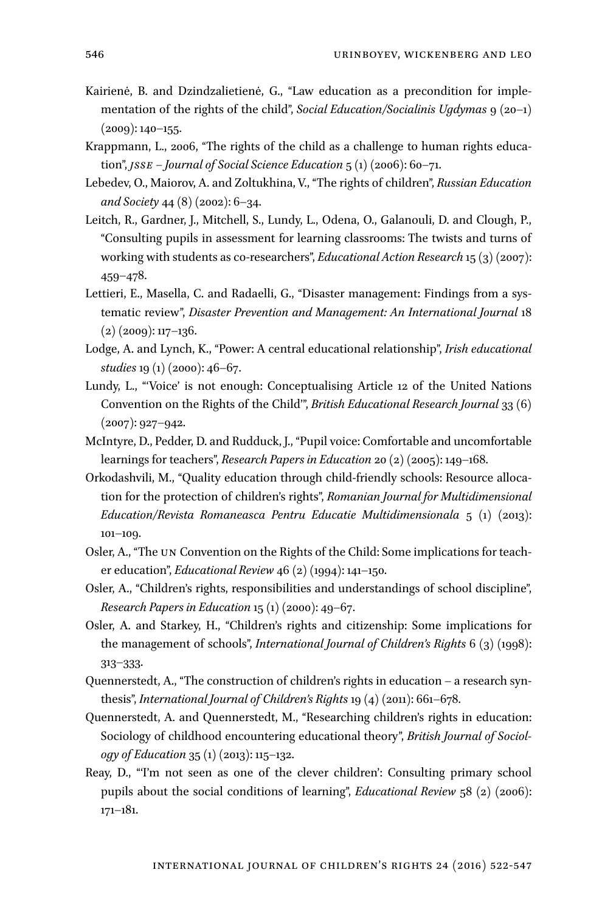- Kairienė, B. and Dzindzalietienė, G., "Law education as a precondition for implementation of the rights of the child", *Social Education/Socialinis Ugdymas* 9 (20–1) (2009): 140–155.
- Krappmann, L., 2006, "The rights of the child as a challenge to human rights education", *jsse – Journal of Social Science Education* 5 (1) (2006): 60–71.
- Lebedev, O., Maiorov, A. and Zoltukhina, V., "The rights of children", *Russian Education and Society* 44 (8) (2002): 6–34.
- Leitch, R., Gardner, J., Mitchell, S., Lundy, L., Odena, O., Galanouli, D. and Clough, P., "Consulting pupils in assessment for learning classrooms: The twists and turns of working with students as co-researchers", *Educational Action Research* 15(3) (2007): 459–478.
- Lettieri, E., Masella, C. and Radaelli, G., "Disaster management: Findings from a systematic review", *Disaster Prevention and Management: An International Journal* 18 (2) (2009): 117–136.
- Lodge, A. and Lynch, K., "Power: A central educational relationship", *Irish educational studies* 19 (1) (2000): 46–67.
- Lundy, L., "'Voice' is not enough: Conceptualising Article 12 of the United Nations Convention on the Rights of the Child'", *British Educational Research Journal* 33 (6) (2007): 927–942.
- McIntyre, D., Pedder, D. and Rudduck, J., "Pupil voice: Comfortable and uncomfortable learnings for teachers", *Research Papers in Education* 20 (2) (2005): 149–168.
- Orkodashvili, M., "Quality education through child-friendly schools: Resource allocation for the protection of children's rights", *Romanian Journal for Multidimensional Education/Revista Romaneasca Pentru Educatie Multidimensionala* 5 (1) (2013): 101–109.
- Osler, A., "The un Convention on the Rights of the Child: Some implications for teacher education", *Educational Review* 46 (2) (1994): 141–150.
- Osler, A., "Children's rights, responsibilities and understandings of school discipline", *Research Papers in Education* 15 (1) (2000): 49–67.
- Osler, A. and Starkey, H., "Children's rights and citizenship: Some implications for the management of schools", *International Journal of Children's Rights* 6 (3) (1998): 313–333.
- Quennerstedt, A., "The construction of children's rights in education a research synthesis", *International Journal of Children's Rights* 19 (4) (2011): 661–678.
- Quennerstedt, A. and Quennerstedt, M., "Researching children's rights in education: Sociology of childhood encountering educational theory", *British Journal of Sociology of Education* 35 (1) (2013): 115–132.
- Reay, D., "'I'm not seen as one of the clever children': Consulting primary school pupils about the social conditions of learning", *Educational Review* 58 (2) (2006): 171–181.